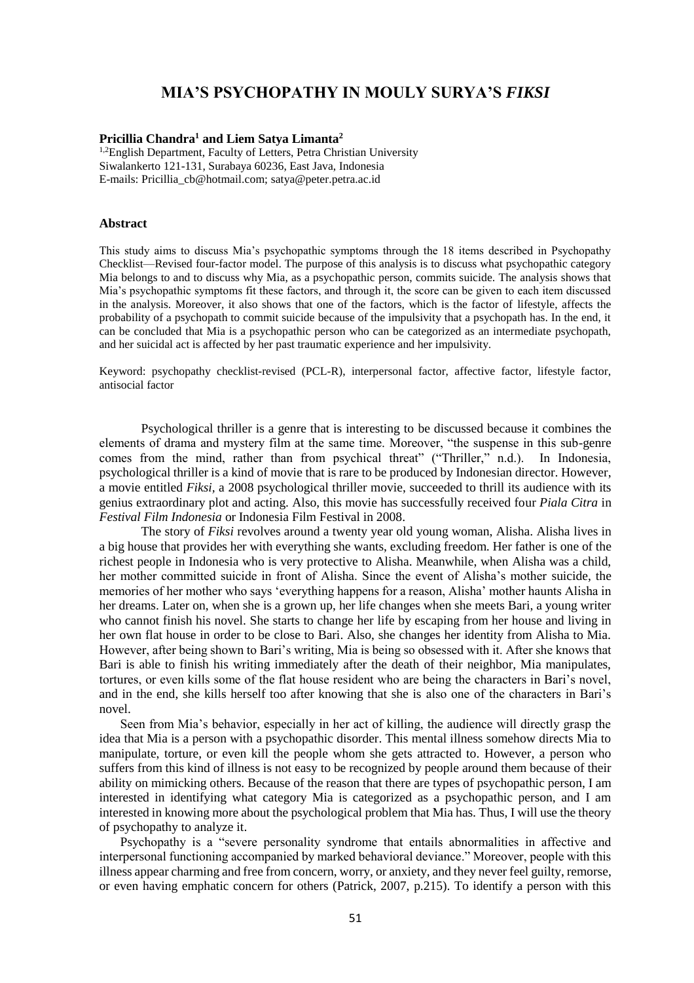# **MIA'S PSYCHOPATHY IN MOULY SURYA'S** *FIKSI*

### **Pricillia Chandra<sup>1</sup> and Liem Satya Limanta<sup>2</sup>**

<sup>1,2</sup>English Department, Faculty of Letters, Petra Christian University Siwalankerto 121-131, Surabaya 60236, East Java, Indonesia E-mails: Pricillia\_cb@hotmail.com; satya@peter.petra.ac.id

# **Abstract**

This study aims to discuss Mia's psychopathic symptoms through the 18 items described in Psychopathy Checklist—Revised four-factor model. The purpose of this analysis is to discuss what psychopathic category Mia belongs to and to discuss why Mia, as a psychopathic person, commits suicide. The analysis shows that Mia's psychopathic symptoms fit these factors, and through it, the score can be given to each item discussed in the analysis. Moreover, it also shows that one of the factors, which is the factor of lifestyle, affects the probability of a psychopath to commit suicide because of the impulsivity that a psychopath has. In the end, it can be concluded that Mia is a psychopathic person who can be categorized as an intermediate psychopath, and her suicidal act is affected by her past traumatic experience and her impulsivity.

Keyword: psychopathy checklist-revised (PCL-R), interpersonal factor, affective factor, lifestyle factor, antisocial factor

Psychological thriller is a genre that is interesting to be discussed because it combines the elements of drama and mystery film at the same time. Moreover, "the suspense in this sub-genre comes from the mind, rather than from psychical threat" ("Thriller," n.d.). In Indonesia, psychological thriller is a kind of movie that is rare to be produced by Indonesian director. However, a movie entitled *Fiksi,* a 2008 psychological thriller movie, succeeded to thrill its audience with its genius extraordinary plot and acting. Also, this movie has successfully received four *Piala Citra* in *Festival Film Indonesia* or Indonesia Film Festival in 2008.

The story of *Fiksi* revolves around a twenty year old young woman, Alisha. Alisha lives in a big house that provides her with everything she wants, excluding freedom. Her father is one of the richest people in Indonesia who is very protective to Alisha. Meanwhile, when Alisha was a child, her mother committed suicide in front of Alisha. Since the event of Alisha's mother suicide, the memories of her mother who says 'everything happens for a reason, Alisha' mother haunts Alisha in her dreams. Later on, when she is a grown up, her life changes when she meets Bari, a young writer who cannot finish his novel. She starts to change her life by escaping from her house and living in her own flat house in order to be close to Bari. Also, she changes her identity from Alisha to Mia. However, after being shown to Bari's writing, Mia is being so obsessed with it. After she knows that Bari is able to finish his writing immediately after the death of their neighbor, Mia manipulates, tortures, or even kills some of the flat house resident who are being the characters in Bari's novel, and in the end, she kills herself too after knowing that she is also one of the characters in Bari's novel.

Seen from Mia's behavior, especially in her act of killing, the audience will directly grasp the idea that Mia is a person with a psychopathic disorder. This mental illness somehow directs Mia to manipulate, torture, or even kill the people whom she gets attracted to. However, a person who suffers from this kind of illness is not easy to be recognized by people around them because of their ability on mimicking others. Because of the reason that there are types of psychopathic person, I am interested in identifying what category Mia is categorized as a psychopathic person, and I am interested in knowing more about the psychological problem that Mia has. Thus, I will use the theory of psychopathy to analyze it.

Psychopathy is a "severe personality syndrome that entails abnormalities in affective and interpersonal functioning accompanied by marked behavioral deviance." Moreover, people with this illness appear charming and free from concern, worry, or anxiety, and they never feel guilty, remorse, or even having emphatic concern for others (Patrick, 2007, p.215). To identify a person with this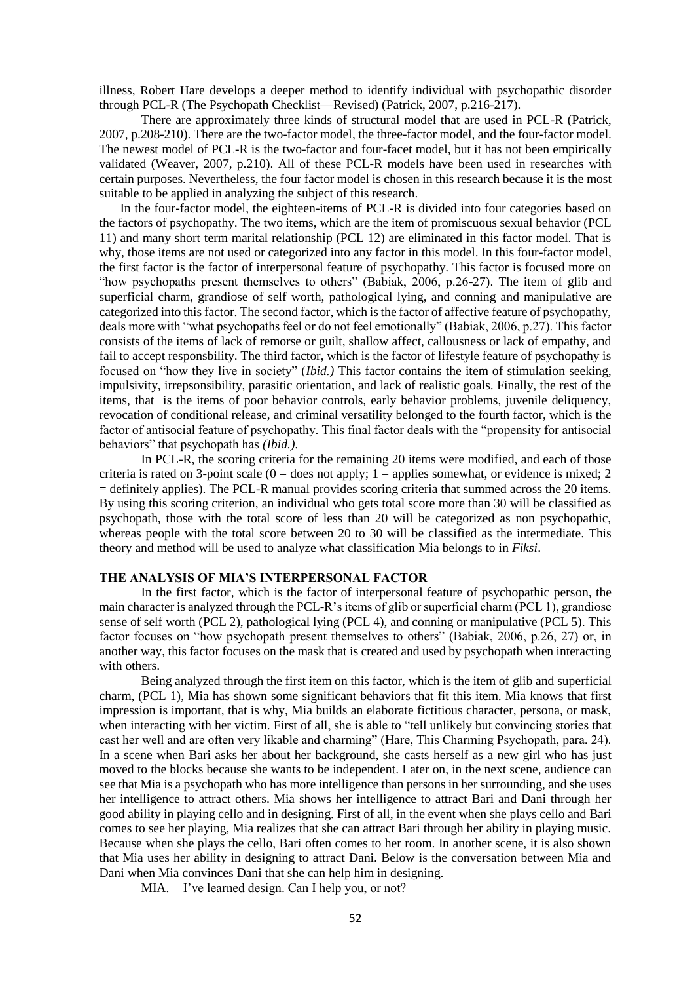illness, Robert Hare develops a deeper method to identify individual with psychopathic disorder through PCL-R (The Psychopath Checklist—Revised) (Patrick, 2007, p.216-217).

There are approximately three kinds of structural model that are used in PCL-R (Patrick, 2007, p.208-210). There are the two-factor model, the three-factor model, and the four-factor model. The newest model of PCL-R is the two-factor and four-facet model, but it has not been empirically validated (Weaver, 2007, p.210). All of these PCL-R models have been used in researches with certain purposes. Nevertheless, the four factor model is chosen in this research because it is the most suitable to be applied in analyzing the subject of this research.

In the four-factor model, the eighteen-items of PCL-R is divided into four categories based on the factors of psychopathy. The two items, which are the item of promiscuous sexual behavior (PCL 11) and many short term marital relationship (PCL 12) are eliminated in this factor model. That is why, those items are not used or categorized into any factor in this model. In this four-factor model, the first factor is the factor of interpersonal feature of psychopathy. This factor is focused more on "how psychopaths present themselves to others" (Babiak, 2006, p.26-27). The item of glib and superficial charm, grandiose of self worth, pathological lying, and conning and manipulative are categorized into this factor. The second factor, which is the factor of affective feature of psychopathy, deals more with "what psychopaths feel or do not feel emotionally" (Babiak, 2006, p.27). This factor consists of the items of lack of remorse or guilt, shallow affect, callousness or lack of empathy, and fail to accept responsbility. The third factor, which is the factor of lifestyle feature of psychopathy is focused on "how they live in society" (*Ibid.)* This factor contains the item of stimulation seeking, impulsivity, irrepsonsibility, parasitic orientation, and lack of realistic goals. Finally, the rest of the items, that is the items of poor behavior controls, early behavior problems, juvenile deliquency, revocation of conditional release, and criminal versatility belonged to the fourth factor, which is the factor of antisocial feature of psychopathy. This final factor deals with the "propensity for antisocial behaviors" that psychopath has *(Ibid.)*.

In PCL-R, the scoring criteria for the remaining 20 items were modified, and each of those criteria is rated on 3-point scale ( $0 =$  does not apply; 1 = applies somewhat, or evidence is mixed; 2 = definitely applies). The PCL-R manual provides scoring criteria that summed across the 20 items. By using this scoring criterion, an individual who gets total score more than 30 will be classified as psychopath, those with the total score of less than 20 will be categorized as non psychopathic, whereas people with the total score between 20 to 30 will be classified as the intermediate. This theory and method will be used to analyze what classification Mia belongs to in *Fiksi*.

# **THE ANALYSIS OF MIA'S INTERPERSONAL FACTOR**

In the first factor, which is the factor of interpersonal feature of psychopathic person, the main character is analyzed through the PCL-R's items of glib or superficial charm (PCL 1), grandiose sense of self worth (PCL 2), pathological lying (PCL 4), and conning or manipulative (PCL 5). This factor focuses on "how psychopath present themselves to others" (Babiak, 2006, p.26, 27) or, in another way, this factor focuses on the mask that is created and used by psychopath when interacting with others.

Being analyzed through the first item on this factor, which is the item of glib and superficial charm, (PCL 1), Mia has shown some significant behaviors that fit this item. Mia knows that first impression is important, that is why, Mia builds an elaborate fictitious character, persona, or mask, when interacting with her victim. First of all, she is able to "tell unlikely but convincing stories that cast her well and are often very likable and charming" (Hare, This Charming Psychopath, para. 24). In a scene when Bari asks her about her background, she casts herself as a new girl who has just moved to the blocks because she wants to be independent. Later on, in the next scene, audience can see that Mia is a psychopath who has more intelligence than persons in her surrounding, and she uses her intelligence to attract others. Mia shows her intelligence to attract Bari and Dani through her good ability in playing cello and in designing. First of all, in the event when she plays cello and Bari comes to see her playing, Mia realizes that she can attract Bari through her ability in playing music. Because when she plays the cello, Bari often comes to her room. In another scene, it is also shown that Mia uses her ability in designing to attract Dani. Below is the conversation between Mia and Dani when Mia convinces Dani that she can help him in designing.

MIA. I've learned design. Can I help you, or not?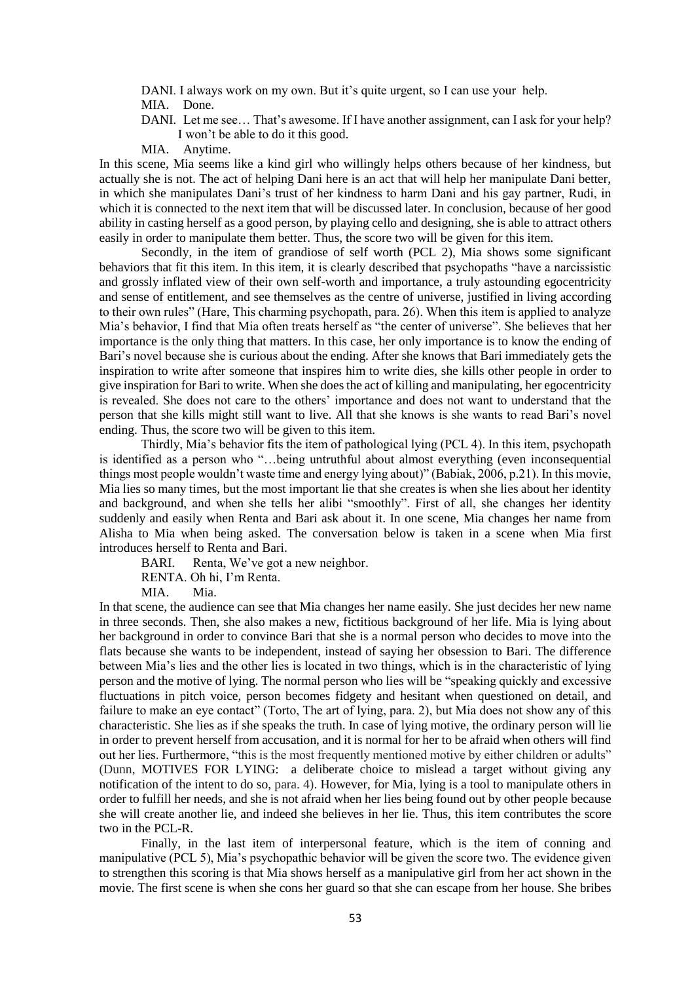DANI. I always work on my own. But it's quite urgent, so I can use your help. MIA. Done.

DANI. Let me see… That's awesome. If I have another assignment, can I ask for your help? I won't be able to do it this good.

MIA. Anytime.

In this scene, Mia seems like a kind girl who willingly helps others because of her kindness, but actually she is not. The act of helping Dani here is an act that will help her manipulate Dani better, in which she manipulates Dani's trust of her kindness to harm Dani and his gay partner, Rudi, in which it is connected to the next item that will be discussed later. In conclusion, because of her good ability in casting herself as a good person, by playing cello and designing, she is able to attract others easily in order to manipulate them better. Thus, the score two will be given for this item.

Secondly, in the item of grandiose of self worth (PCL 2), Mia shows some significant behaviors that fit this item. In this item, it is clearly described that psychopaths "have a narcissistic and grossly inflated view of their own self-worth and importance, a truly astounding egocentricity and sense of entitlement, and see themselves as the centre of universe, justified in living according to their own rules" (Hare, This charming psychopath, para. 26). When this item is applied to analyze Mia's behavior, I find that Mia often treats herself as "the center of universe". She believes that her importance is the only thing that matters. In this case, her only importance is to know the ending of Bari's novel because she is curious about the ending. After she knows that Bari immediately gets the inspiration to write after someone that inspires him to write dies, she kills other people in order to give inspiration for Bari to write. When she does the act of killing and manipulating, her egocentricity is revealed. She does not care to the others' importance and does not want to understand that the person that she kills might still want to live. All that she knows is she wants to read Bari's novel ending. Thus, the score two will be given to this item.

Thirdly, Mia's behavior fits the item of pathological lying (PCL 4). In this item, psychopath is identified as a person who "…being untruthful about almost everything (even inconsequential things most people wouldn't waste time and energy lying about)" (Babiak, 2006, p.21). In this movie, Mia lies so many times, but the most important lie that she creates is when she lies about her identity and background, and when she tells her alibi "smoothly". First of all, she changes her identity suddenly and easily when Renta and Bari ask about it. In one scene, Mia changes her name from Alisha to Mia when being asked. The conversation below is taken in a scene when Mia first introduces herself to Renta and Bari.

BARI. Renta, We've got a new neighbor.

RENTA. Oh hi, I'm Renta.

MIA. Mia.

In that scene, the audience can see that Mia changes her name easily. She just decides her new name in three seconds. Then, she also makes a new, fictitious background of her life. Mia is lying about her background in order to convince Bari that she is a normal person who decides to move into the flats because she wants to be independent, instead of saying her obsession to Bari. The difference between Mia's lies and the other lies is located in two things, which is in the characteristic of lying person and the motive of lying. The normal person who lies will be "speaking quickly and excessive fluctuations in pitch voice, person becomes fidgety and hesitant when questioned on detail, and failure to make an eye contact" (Torto, The art of lying, para. 2), but Mia does not show any of this characteristic. She lies as if she speaks the truth. In case of lying motive, the ordinary person will lie in order to prevent herself from accusation, and it is normal for her to be afraid when others will find out her lies. Furthermore, "this is the most frequently mentioned motive by either children or adults" (Dunn, MOTIVES FOR LYING: a deliberate choice to mislead a target without giving any notification of the intent to do so, para. 4). However, for Mia, lying is a tool to manipulate others in order to fulfill her needs, and she is not afraid when her lies being found out by other people because she will create another lie, and indeed she believes in her lie. Thus, this item contributes the score two in the PCL-R.

Finally, in the last item of interpersonal feature, which is the item of conning and manipulative (PCL 5), Mia's psychopathic behavior will be given the score two. The evidence given to strengthen this scoring is that Mia shows herself as a manipulative girl from her act shown in the movie. The first scene is when she cons her guard so that she can escape from her house. She bribes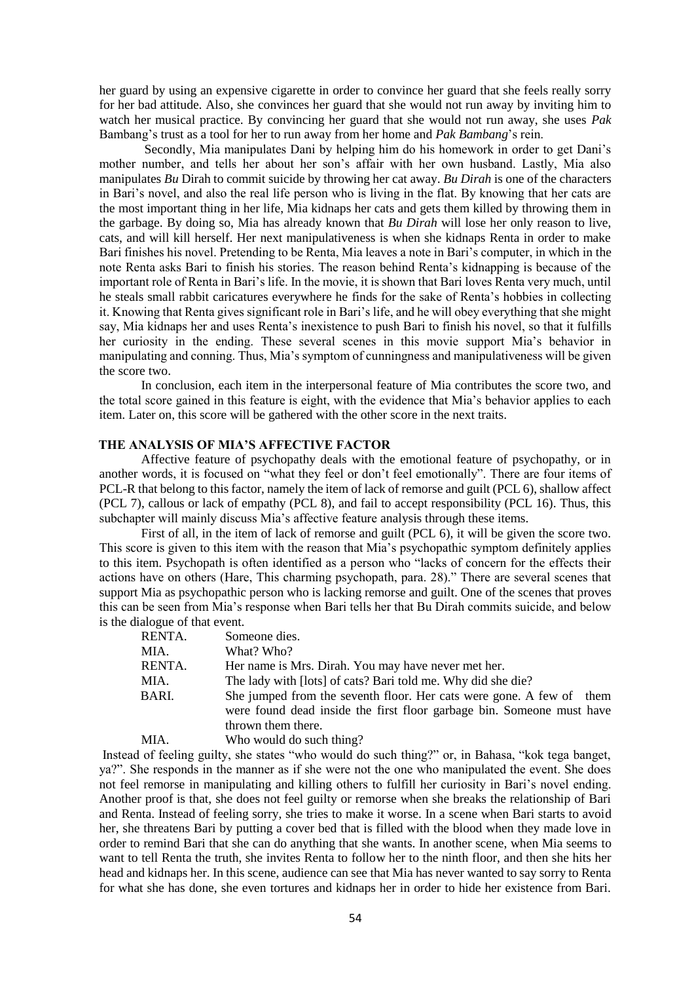her guard by using an expensive cigarette in order to convince her guard that she feels really sorry for her bad attitude. Also, she convinces her guard that she would not run away by inviting him to watch her musical practice. By convincing her guard that she would not run away, she uses *Pak*  Bambang's trust as a tool for her to run away from her home and *Pak Bambang*'s rein.

Secondly, Mia manipulates Dani by helping him do his homework in order to get Dani's mother number, and tells her about her son's affair with her own husband. Lastly, Mia also manipulates *Bu* Dirah to commit suicide by throwing her cat away. *Bu Dirah* is one of the characters in Bari's novel, and also the real life person who is living in the flat. By knowing that her cats are the most important thing in her life, Mia kidnaps her cats and gets them killed by throwing them in the garbage. By doing so, Mia has already known that *Bu Dirah* will lose her only reason to live, cats, and will kill herself. Her next manipulativeness is when she kidnaps Renta in order to make Bari finishes his novel. Pretending to be Renta, Mia leaves a note in Bari's computer, in which in the note Renta asks Bari to finish his stories. The reason behind Renta's kidnapping is because of the important role of Renta in Bari's life. In the movie, it is shown that Bari loves Renta very much, until he steals small rabbit caricatures everywhere he finds for the sake of Renta's hobbies in collecting it. Knowing that Renta gives significant role in Bari's life, and he will obey everything that she might say, Mia kidnaps her and uses Renta's inexistence to push Bari to finish his novel, so that it fulfills her curiosity in the ending. These several scenes in this movie support Mia's behavior in manipulating and conning. Thus, Mia's symptom of cunningness and manipulativeness will be given the score two.

In conclusion, each item in the interpersonal feature of Mia contributes the score two, and the total score gained in this feature is eight, with the evidence that Mia's behavior applies to each item. Later on, this score will be gathered with the other score in the next traits.

# **THE ANALYSIS OF MIA'S AFFECTIVE FACTOR**

Affective feature of psychopathy deals with the emotional feature of psychopathy, or in another words, it is focused on "what they feel or don't feel emotionally". There are four items of PCL-R that belong to this factor, namely the item of lack of remorse and guilt (PCL 6), shallow affect (PCL 7), callous or lack of empathy (PCL 8), and fail to accept responsibility (PCL 16). Thus, this subchapter will mainly discuss Mia's affective feature analysis through these items.

First of all, in the item of lack of remorse and guilt (PCL 6), it will be given the score two. This score is given to this item with the reason that Mia's psychopathic symptom definitely applies to this item. Psychopath is often identified as a person who "lacks of concern for the effects their actions have on others (Hare, This charming psychopath, para. 28)." There are several scenes that support Mia as psychopathic person who is lacking remorse and guilt. One of the scenes that proves this can be seen from Mia's response when Bari tells her that Bu Dirah commits suicide, and below is the dialogue of that event.

| RENTA. | Someone dies.                                                                                                                                 |
|--------|-----------------------------------------------------------------------------------------------------------------------------------------------|
| MIA.   | What? Who?                                                                                                                                    |
| RENTA. | Her name is Mrs. Dirah. You may have never met her.                                                                                           |
| MIA.   | The lady with [lots] of cats? Bari told me. Why did she die?                                                                                  |
| BARI.  | She jumped from the seventh floor. Her cats were gone. A few of them<br>were found dead inside the first floor garbage bin. Someone must have |
|        | thrown them there.                                                                                                                            |
| MIA.   | Who would do such thing?                                                                                                                      |

Instead of feeling guilty, she states "who would do such thing?" or, in Bahasa, "kok tega banget, ya?". She responds in the manner as if she were not the one who manipulated the event. She does not feel remorse in manipulating and killing others to fulfill her curiosity in Bari's novel ending. Another proof is that, she does not feel guilty or remorse when she breaks the relationship of Bari and Renta. Instead of feeling sorry, she tries to make it worse. In a scene when Bari starts to avoid her, she threatens Bari by putting a cover bed that is filled with the blood when they made love in order to remind Bari that she can do anything that she wants. In another scene, when Mia seems to want to tell Renta the truth, she invites Renta to follow her to the ninth floor, and then she hits her head and kidnaps her. In this scene, audience can see that Mia has never wanted to say sorry to Renta for what she has done, she even tortures and kidnaps her in order to hide her existence from Bari.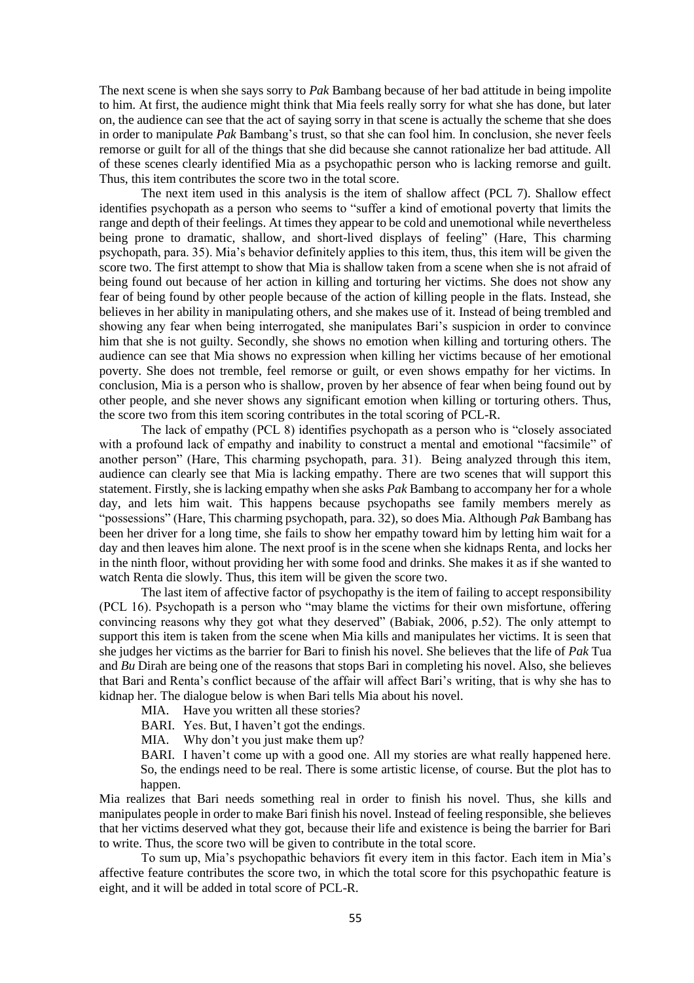The next scene is when she says sorry to *Pak* Bambang because of her bad attitude in being impolite to him. At first, the audience might think that Mia feels really sorry for what she has done, but later on, the audience can see that the act of saying sorry in that scene is actually the scheme that she does in order to manipulate *Pak* Bambang's trust, so that she can fool him. In conclusion, she never feels remorse or guilt for all of the things that she did because she cannot rationalize her bad attitude. All of these scenes clearly identified Mia as a psychopathic person who is lacking remorse and guilt. Thus, this item contributes the score two in the total score.

The next item used in this analysis is the item of shallow affect (PCL 7). Shallow effect identifies psychopath as a person who seems to "suffer a kind of emotional poverty that limits the range and depth of their feelings. At times they appear to be cold and unemotional while nevertheless being prone to dramatic, shallow, and short-lived displays of feeling" (Hare, This charming psychopath, para. 35). Mia's behavior definitely applies to this item, thus, this item will be given the score two. The first attempt to show that Mia is shallow taken from a scene when she is not afraid of being found out because of her action in killing and torturing her victims. She does not show any fear of being found by other people because of the action of killing people in the flats. Instead, she believes in her ability in manipulating others, and she makes use of it. Instead of being trembled and showing any fear when being interrogated, she manipulates Bari's suspicion in order to convince him that she is not guilty. Secondly, she shows no emotion when killing and torturing others. The audience can see that Mia shows no expression when killing her victims because of her emotional poverty. She does not tremble, feel remorse or guilt, or even shows empathy for her victims. In conclusion, Mia is a person who is shallow, proven by her absence of fear when being found out by other people, and she never shows any significant emotion when killing or torturing others. Thus, the score two from this item scoring contributes in the total scoring of PCL-R.

The lack of empathy (PCL 8) identifies psychopath as a person who is "closely associated with a profound lack of empathy and inability to construct a mental and emotional "facsimile" of another person" (Hare, This charming psychopath, para. 31). Being analyzed through this item, audience can clearly see that Mia is lacking empathy. There are two scenes that will support this statement. Firstly, she is lacking empathy when she asks *Pak* Bambang to accompany her for a whole day, and lets him wait. This happens because psychopaths see family members merely as "possessions" (Hare, This charming psychopath, para. 32), so does Mia. Although *Pak* Bambang has been her driver for a long time, she fails to show her empathy toward him by letting him wait for a day and then leaves him alone. The next proof is in the scene when she kidnaps Renta, and locks her in the ninth floor, without providing her with some food and drinks. She makes it as if she wanted to watch Renta die slowly. Thus, this item will be given the score two.

The last item of affective factor of psychopathy is the item of failing to accept responsibility (PCL 16). Psychopath is a person who "may blame the victims for their own misfortune, offering convincing reasons why they got what they deserved" (Babiak, 2006, p.52). The only attempt to support this item is taken from the scene when Mia kills and manipulates her victims. It is seen that she judges her victims as the barrier for Bari to finish his novel. She believes that the life of *Pak* Tua and *Bu* Dirah are being one of the reasons that stops Bari in completing his novel. Also, she believes that Bari and Renta's conflict because of the affair will affect Bari's writing, that is why she has to kidnap her. The dialogue below is when Bari tells Mia about his novel.

MIA. Have you written all these stories?

BARI. Yes. But, I haven't got the endings.

MIA. Why don't you just make them up?

BARI. I haven't come up with a good one. All my stories are what really happened here. So, the endings need to be real. There is some artistic license, of course. But the plot has to happen.

Mia realizes that Bari needs something real in order to finish his novel. Thus, she kills and manipulates people in order to make Bari finish his novel. Instead of feeling responsible, she believes that her victims deserved what they got, because their life and existence is being the barrier for Bari to write. Thus, the score two will be given to contribute in the total score.

To sum up, Mia's psychopathic behaviors fit every item in this factor. Each item in Mia's affective feature contributes the score two, in which the total score for this psychopathic feature is eight, and it will be added in total score of PCL-R.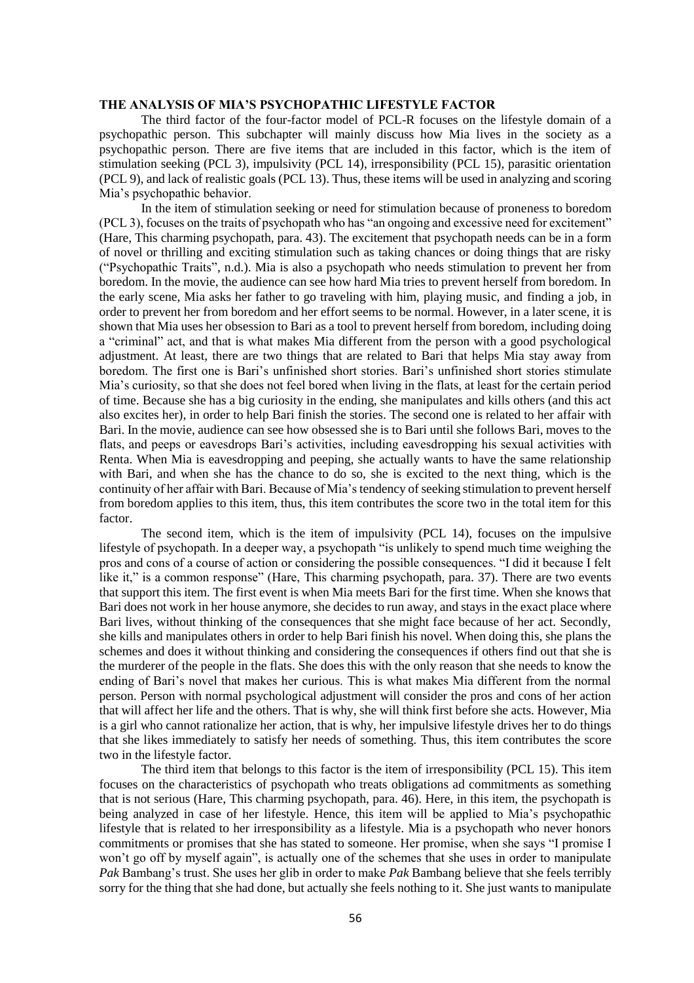#### **THE ANALYSIS OF MIA'S PSYCHOPATHIC LIFESTYLE FACTOR**

The third factor of the four-factor model of PCL-R focuses on the lifestyle domain of a psychopathic person. This subchapter will mainly discuss how Mia lives in the society as a psychopathic person. There are five items that are included in this factor, which is the item of stimulation seeking (PCL 3), impulsivity (PCL 14), irresponsibility (PCL 15), parasitic orientation (PCL 9), and lack of realistic goals (PCL 13). Thus, these items will be used in analyzing and scoring Mia's psychopathic behavior.

In the item of stimulation seeking or need for stimulation because of proneness to boredom (PCL 3), focuses on the traits of psychopath who has "an ongoing and excessive need for excitement" (Hare, This charming psychopath, para. 43). The excitement that psychopath needs can be in a form of novel or thrilling and exciting stimulation such as taking chances or doing things that are risky ("Psychopathic Traits", n.d.). Mia is also a psychopath who needs stimulation to prevent her from boredom. In the movie, the audience can see how hard Mia tries to prevent herself from boredom. In the early scene, Mia asks her father to go traveling with him, playing music, and finding a job, in order to prevent her from boredom and her effort seems to be normal. However, in a later scene, it is shown that Mia uses her obsession to Bari as a tool to prevent herself from boredom, including doing a "criminal" act, and that is what makes Mia different from the person with a good psychological adjustment. At least, there are two things that are related to Bari that helps Mia stay away from boredom. The first one is Bari's unfinished short stories. Bari's unfinished short stories stimulate Mia's curiosity, so that she does not feel bored when living in the flats, at least for the certain period of time. Because she has a big curiosity in the ending, she manipulates and kills others (and this act also excites her), in order to help Bari finish the stories. The second one is related to her affair with Bari. In the movie, audience can see how obsessed she is to Bari until she follows Bari, moves to the flats, and peeps or eavesdrops Bari's activities, including eavesdropping his sexual activities with Renta. When Mia is eavesdropping and peeping, she actually wants to have the same relationship with Bari, and when she has the chance to do so, she is excited to the next thing, which is the continuity of her affair with Bari. Because of Mia'stendency of seeking stimulation to prevent herself from boredom applies to this item, thus, this item contributes the score two in the total item for this factor.

The second item, which is the item of impulsivity (PCL 14), focuses on the impulsive lifestyle of psychopath. In a deeper way, a psychopath "is unlikely to spend much time weighing the pros and cons of a course of action or considering the possible consequences. "I did it because I felt like it," is a common response" (Hare, This charming psychopath, para. 37). There are two events that support this item. The first event is when Mia meets Bari for the first time. When she knows that Bari does not work in her house anymore, she decides to run away, and stays in the exact place where Bari lives, without thinking of the consequences that she might face because of her act. Secondly, she kills and manipulates others in order to help Bari finish his novel. When doing this, she plans the schemes and does it without thinking and considering the consequences if others find out that she is the murderer of the people in the flats. She does this with the only reason that she needs to know the ending of Bari's novel that makes her curious. This is what makes Mia different from the normal person. Person with normal psychological adjustment will consider the pros and cons of her action that will affect her life and the others. That is why, she will think first before she acts. However, Mia is a girl who cannot rationalize her action, that is why, her impulsive lifestyle drives her to do things that she likes immediately to satisfy her needs of something. Thus, this item contributes the score two in the lifestyle factor.

The third item that belongs to this factor is the item of irresponsibility (PCL 15). This item focuses on the characteristics of psychopath who treats obligations ad commitments as something that is not serious (Hare, This charming psychopath, para. 46). Here, in this item, the psychopath is being analyzed in case of her lifestyle. Hence, this item will be applied to Mia's psychopathic lifestyle that is related to her irresponsibility as a lifestyle. Mia is a psychopath who never honors commitments or promises that she has stated to someone. Her promise, when she says "I promise I won't go off by myself again", is actually one of the schemes that she uses in order to manipulate *Pak* Bambang's trust. She uses her glib in order to make *Pak* Bambang believe that she feels terribly sorry for the thing that she had done, but actually she feels nothing to it. She just wants to manipulate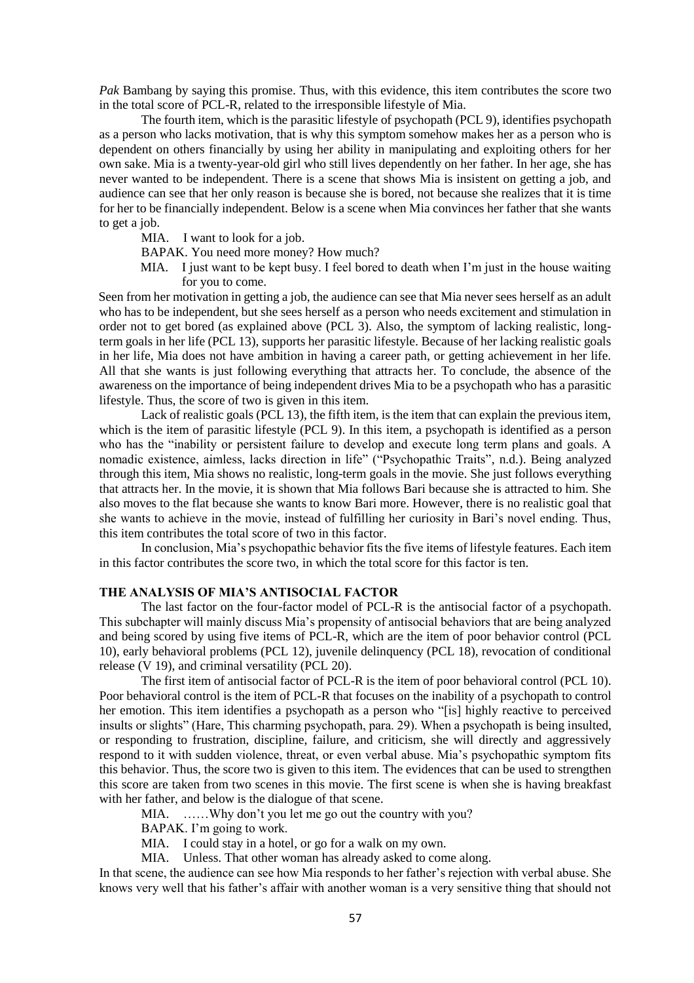*Pak* Bambang by saying this promise. Thus, with this evidence, this item contributes the score two in the total score of PCL-R, related to the irresponsible lifestyle of Mia.

The fourth item, which is the parasitic lifestyle of psychopath (PCL 9), identifies psychopath as a person who lacks motivation, that is why this symptom somehow makes her as a person who is dependent on others financially by using her ability in manipulating and exploiting others for her own sake. Mia is a twenty-year-old girl who still lives dependently on her father. In her age, she has never wanted to be independent. There is a scene that shows Mia is insistent on getting a job, and audience can see that her only reason is because she is bored, not because she realizes that it is time for her to be financially independent. Below is a scene when Mia convinces her father that she wants to get a job.

MIA. I want to look for a job.

- BAPAK. You need more money? How much?
- MIA. I just want to be kept busy. I feel bored to death when I'm just in the house waiting for you to come.

Seen from her motivation in getting a job, the audience can see that Mia never sees herself as an adult who has to be independent, but she sees herself as a person who needs excitement and stimulation in order not to get bored (as explained above (PCL 3). Also, the symptom of lacking realistic, longterm goals in her life (PCL 13), supports her parasitic lifestyle. Because of her lacking realistic goals in her life, Mia does not have ambition in having a career path, or getting achievement in her life. All that she wants is just following everything that attracts her. To conclude, the absence of the awareness on the importance of being independent drives Mia to be a psychopath who has a parasitic lifestyle. Thus, the score of two is given in this item.

Lack of realistic goals (PCL 13), the fifth item, is the item that can explain the previous item, which is the item of parasitic lifestyle (PCL 9). In this item, a psychopath is identified as a person who has the "inability or persistent failure to develop and execute long term plans and goals. A nomadic existence, aimless, lacks direction in life" ("Psychopathic Traits", n.d.). Being analyzed through this item, Mia shows no realistic, long-term goals in the movie. She just follows everything that attracts her. In the movie, it is shown that Mia follows Bari because she is attracted to him. She also moves to the flat because she wants to know Bari more. However, there is no realistic goal that she wants to achieve in the movie, instead of fulfilling her curiosity in Bari's novel ending. Thus, this item contributes the total score of two in this factor.

In conclusion, Mia's psychopathic behavior fits the five items of lifestyle features. Each item in this factor contributes the score two, in which the total score for this factor is ten.

### **THE ANALYSIS OF MIA'S ANTISOCIAL FACTOR**

The last factor on the four-factor model of PCL-R is the antisocial factor of a psychopath. This subchapter will mainly discuss Mia's propensity of antisocial behaviors that are being analyzed and being scored by using five items of PCL-R, which are the item of poor behavior control (PCL 10), early behavioral problems (PCL 12), juvenile delinquency (PCL 18), revocation of conditional release (V 19), and criminal versatility (PCL 20).

The first item of antisocial factor of PCL-R is the item of poor behavioral control (PCL 10). Poor behavioral control is the item of PCL-R that focuses on the inability of a psychopath to control her emotion. This item identifies a psychopath as a person who "[is] highly reactive to perceived insults or slights" (Hare, This charming psychopath, para. 29). When a psychopath is being insulted, or responding to frustration, discipline, failure, and criticism, she will directly and aggressively respond to it with sudden violence, threat, or even verbal abuse. Mia's psychopathic symptom fits this behavior. Thus, the score two is given to this item. The evidences that can be used to strengthen this score are taken from two scenes in this movie. The first scene is when she is having breakfast with her father, and below is the dialogue of that scene.

MIA. ......Why don't you let me go out the country with you?

BAPAK. I'm going to work.

MIA. I could stay in a hotel, or go for a walk on my own.

MIA. Unless. That other woman has already asked to come along.

In that scene, the audience can see how Mia responds to her father's rejection with verbal abuse. She knows very well that his father's affair with another woman is a very sensitive thing that should not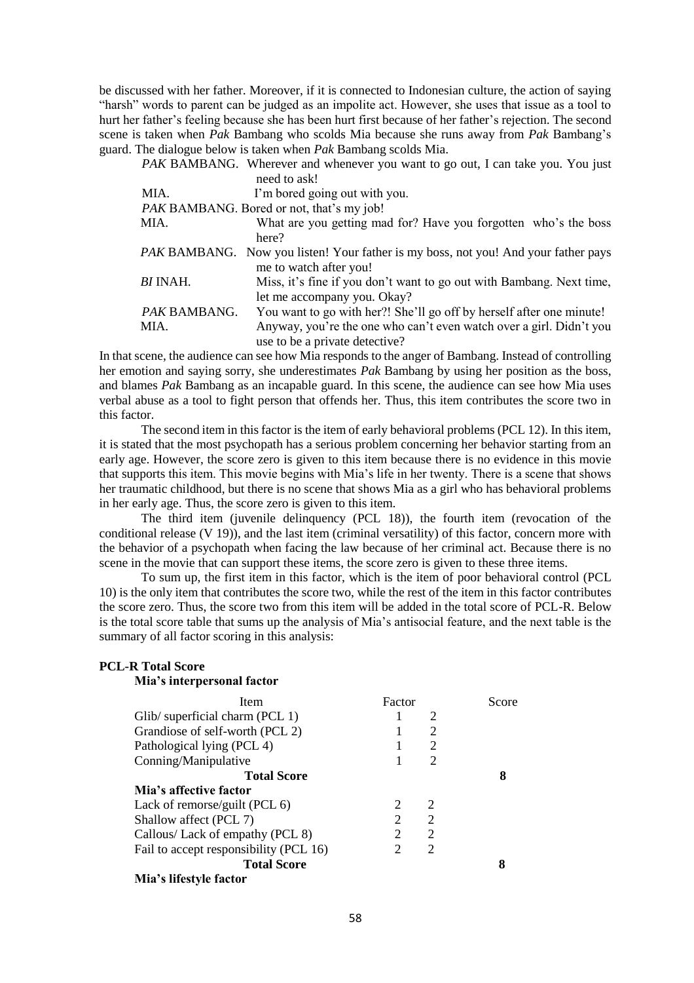be discussed with her father. Moreover, if it is connected to Indonesian culture, the action of saying "harsh" words to parent can be judged as an impolite act. However, she uses that issue as a tool to hurt her father's feeling because she has been hurt first because of her father's rejection. The second scene is taken when *Pak* Bambang who scolds Mia because she runs away from *Pak* Bambang's guard. The dialogue below is taken when *Pak* Bambang scolds Mia.

|                 | <i>PAK</i> BAMBANG. Wherever and whenever you want to go out, I can take you. You just    |
|-----------------|-------------------------------------------------------------------------------------------|
|                 | need to ask!                                                                              |
| MIA.            | I'm bored going out with you.                                                             |
|                 | <i>PAK</i> BAMBANG. Bored or not, that's my job!                                          |
| MIA.            | What are you getting mad for? Have you forgotten who's the boss                           |
|                 | here?                                                                                     |
|                 | <i>PAK</i> BAMBANG. Now you listen! Your father is my boss, not you! And your father pays |
|                 | me to watch after you!                                                                    |
| <b>BI</b> INAH. | Miss, it's fine if you don't want to go out with Bambang. Next time,                      |
|                 | let me accompany you. Okay?                                                               |
| PAK BAMBANG.    | You want to go with her?! She'll go off by herself after one minute!                      |
| MIA.            | Anyway, you're the one who can't even watch over a girl. Didn't you                       |
|                 | use to be a private detective?                                                            |

In that scene, the audience can see how Mia responds to the anger of Bambang. Instead of controlling her emotion and saying sorry, she underestimates *Pak* Bambang by using her position as the boss, and blames *Pak* Bambang as an incapable guard. In this scene, the audience can see how Mia uses verbal abuse as a tool to fight person that offends her. Thus, this item contributes the score two in this factor.

The second item in this factor is the item of early behavioral problems (PCL 12). In this item, it is stated that the most psychopath has a serious problem concerning her behavior starting from an early age. However, the score zero is given to this item because there is no evidence in this movie that supports this item. This movie begins with Mia's life in her twenty. There is a scene that shows her traumatic childhood, but there is no scene that shows Mia as a girl who has behavioral problems in her early age. Thus, the score zero is given to this item.

The third item (juvenile delinquency (PCL 18)), the fourth item (revocation of the conditional release (V 19)), and the last item (criminal versatility) of this factor, concern more with the behavior of a psychopath when facing the law because of her criminal act. Because there is no scene in the movie that can support these items, the score zero is given to these three items.

To sum up, the first item in this factor, which is the item of poor behavioral control (PCL 10) is the only item that contributes the score two, while the rest of the item in this factor contributes the score zero. Thus, the score two from this item will be added in the total score of PCL-R. Below is the total score table that sums up the analysis of Mia's antisocial feature, and the next table is the summary of all factor scoring in this analysis:

| <b>PCL-R Total Score</b>               |        |                |       |
|----------------------------------------|--------|----------------|-------|
| Mia's interpersonal factor             |        |                |       |
| Item                                   | Factor |                | Score |
| Glib/ superficial charm (PCL 1)        |        | 2              |       |
| Grandiose of self-worth (PCL 2)        | 1      | 2              |       |
| Pathological lying (PCL 4)             |        | 2              |       |
| Conning/Manipulative                   |        | 2              |       |
| <b>Total Score</b>                     |        |                | 8     |
| Mia's affective factor                 |        |                |       |
| Lack of remorse/guilt (PCL $6$ )       | 2      | 2              |       |
| Shallow affect (PCL 7)                 | 2      | $\overline{2}$ |       |
| Callous/ Lack of empathy (PCL 8)       | 2      | $\overline{2}$ |       |
| Fail to accept responsibility (PCL 16) | 2      | 2              |       |
| <b>Total Score</b>                     |        |                | 8     |
| Mia's lifestyle factor                 |        |                |       |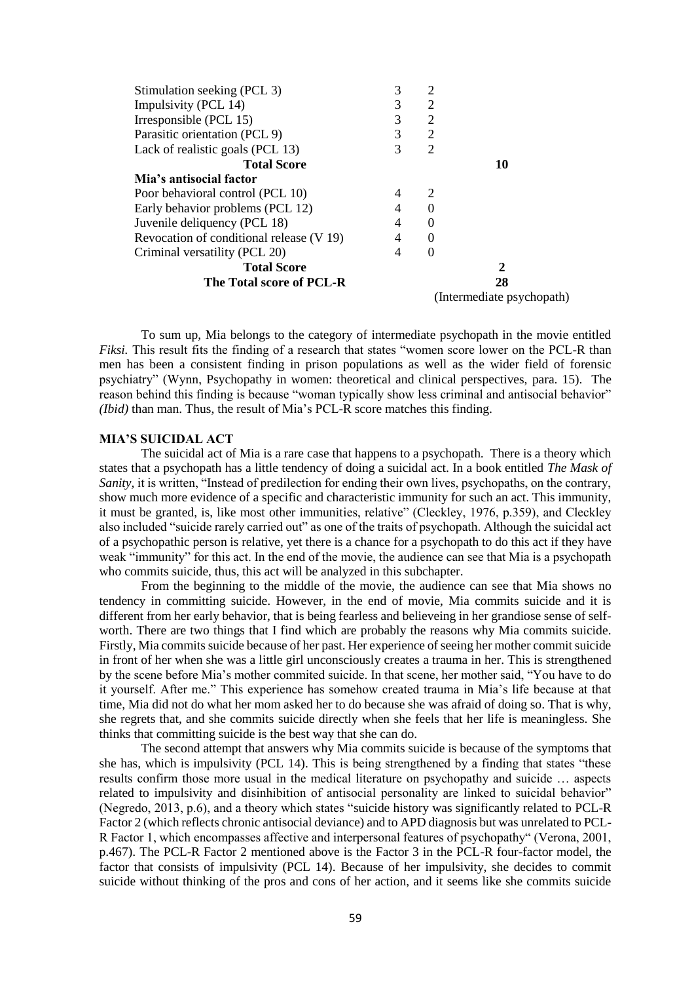| 3 | $\overline{2}$ |                           |
|---|----------------|---------------------------|
| 3 | 2              |                           |
| 3 | 2              |                           |
| 3 | 2              |                           |
| 3 | 2              |                           |
|   |                | 10                        |
|   |                |                           |
| 4 | 2              |                           |
| 4 | $\Omega$       |                           |
| 4 | $\Omega$       |                           |
| 4 | $\Omega$       |                           |
| 4 | $\Omega$       |                           |
|   |                | 2                         |
|   |                | 28                        |
|   |                | (Intermediate psychopath) |
|   |                |                           |

To sum up, Mia belongs to the category of intermediate psychopath in the movie entitled *Fiksi*. This result fits the finding of a research that states "women score lower on the PCL-R than men has been a consistent finding in prison populations as well as the wider field of forensic psychiatry" (Wynn, Psychopathy in women: theoretical and clinical perspectives, para. 15). The reason behind this finding is because "woman typically show less criminal and antisocial behavior" *(Ibid)* than man. Thus, the result of Mia's PCL-R score matches this finding.

#### **MIA'S SUICIDAL ACT**

The suicidal act of Mia is a rare case that happens to a psychopath. There is a theory which states that a psychopath has a little tendency of doing a suicidal act. In a book entitled *The Mask of Sanity*, it is written, "Instead of predilection for ending their own lives, psychopaths, on the contrary, show much more evidence of a specific and characteristic immunity for such an act. This immunity, it must be granted, is, like most other immunities, relative" (Cleckley, 1976, p.359), and Cleckley also included "suicide rarely carried out" as one of the traits of psychopath. Although the suicidal act of a psychopathic person is relative, yet there is a chance for a psychopath to do this act if they have weak "immunity" for this act. In the end of the movie, the audience can see that Mia is a psychopath who commits suicide, thus, this act will be analyzed in this subchapter.

From the beginning to the middle of the movie, the audience can see that Mia shows no tendency in committing suicide. However, in the end of movie, Mia commits suicide and it is different from her early behavior, that is being fearless and believeing in her grandiose sense of selfworth. There are two things that I find which are probably the reasons why Mia commits suicide. Firstly, Mia commits suicide because of her past. Her experience of seeing her mother commit suicide in front of her when she was a little girl unconsciously creates a trauma in her. This is strengthened by the scene before Mia's mother commited suicide. In that scene, her mother said, "You have to do it yourself. After me." This experience has somehow created trauma in Mia's life because at that time, Mia did not do what her mom asked her to do because she was afraid of doing so. That is why, she regrets that, and she commits suicide directly when she feels that her life is meaningless. She thinks that committing suicide is the best way that she can do.

The second attempt that answers why Mia commits suicide is because of the symptoms that she has, which is impulsivity (PCL 14). This is being strengthened by a finding that states "these results confirm those more usual in the medical literature on psychopathy and suicide … aspects related to impulsivity and disinhibition of antisocial personality are linked to suicidal behavior" (Negredo, 2013, p.6), and a theory which states "suicide history was significantly related to PCL-R Factor 2 (which reflects chronic antisocial deviance) and to APD diagnosis but was unrelated to PCL-R Factor 1, which encompasses affective and interpersonal features of psychopathy" (Verona, 2001, p.467). The PCL-R Factor 2 mentioned above is the Factor 3 in the PCL-R four-factor model, the factor that consists of impulsivity (PCL 14). Because of her impulsivity, she decides to commit suicide without thinking of the pros and cons of her action, and it seems like she commits suicide